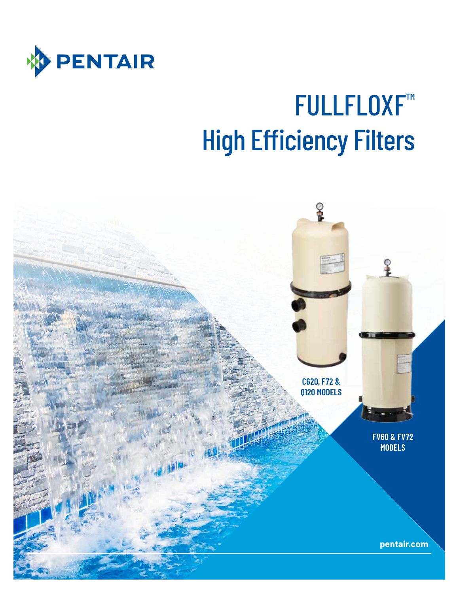

# FULLFLOXF™ High Efficiency Filters

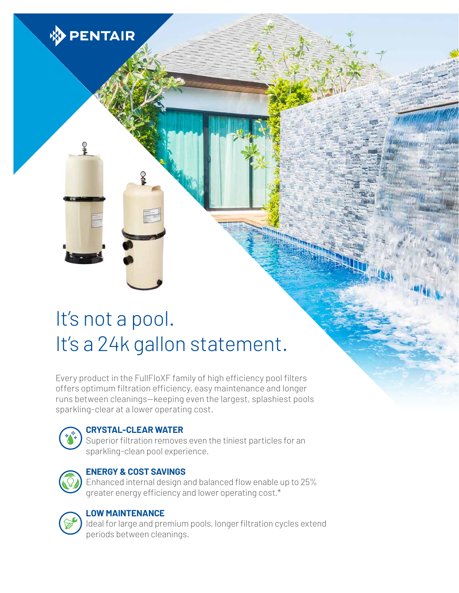

Every product in the FullFloXF family of high efficiency pool filters offers optimum filtration efficiency, easy maintenance and longer runs between cleanings—keeping even the largest, splashiest pools sparkling-clear at a lower operating cost.



**PENTAIR** 

#### **CRYSTAL-CLEAR WATER**

Superior filtration removes even the tiniest particles for an sparkling-clean pool experience.



#### **ENERGY & COST SAVINGS**

Enhanced internal design and balanced flow enable up to 25% greater energy efficiency and lower operating cost.\*



#### **LOW MAINTENANCE**

Ideal for large and premium pools, longer filtration cycles extend periods between cleanings.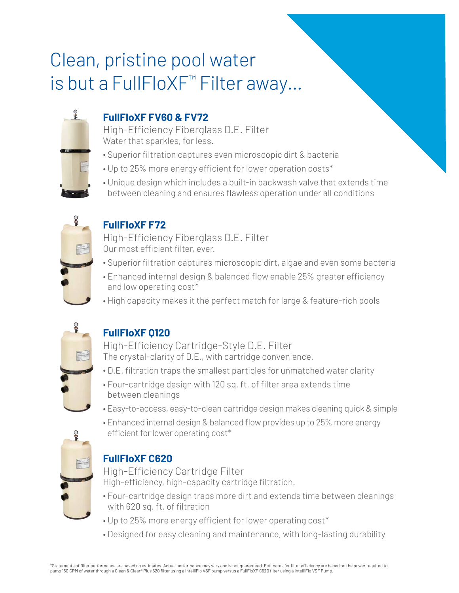## Clean, pristine pool water is but a FullFloXF™ Filter away…



### **FullFloXF FV60 & FV72**

High-Efficiency Fiberglass D.E. Filter Water that sparkles, for less.

- ∙ Superior filtration captures even microscopic dirt & bacteria
- Up to 25% more energy efficient for lower operation costs\*
- Unique design which includes a built-in backwash valve that extends time between cleaning and ensures flawless operation under all conditions



### **FullFloXF F72**

High-Efficiency Fiberglass D.E. Filter Our most efficient filter, ever.

- ∙ Superior filtration captures microscopic dirt, algae and even some bacteria
- Enhanced internal design & balanced flow enable 25% greater efficiency and low operating cost\*
- High capacity makes it the perfect match for large & feature-rich pools



#### **FullFloXF Q120**

High-Efficiency Cartridge-Style D.E. Filter The crystal-clarity of D.E., with cartridge convenience.

- ∙ D.E. filtration traps the smallest particles for unmatched water clarity
- Four-cartridge design with 120 sq. ft. of filter area extends time between cleanings
- Easy-to-access, easy-to-clean cartridge design makes cleaning quick & simple
- Enhanced internal design & balanced flow provides up to 25% more energy efficient for lower operating cost\*



#### **FullFloXF C620**

High-Efficiency Cartridge Filter High-efficiency, high-capacity cartridge filtration.

- ∙ Four-cartridge design traps more dirt and extends time between cleanings with 620 sq. ft. of filtration
- Up to 25% more energy efficient for lower operating cost\*
- Designed for easy cleaning and maintenance, with long-lasting durability